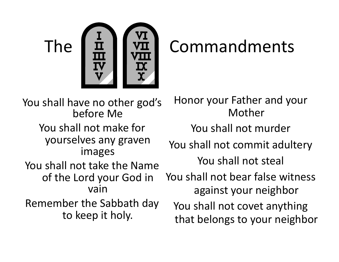

You shall have no other god's before Me You shall not make for yourselves any graven images You shall not take the Name of the Lord your God in vain Remember the Sabbath day to keep it holy.

Honor your Father and your Mother You shall not murder You shall not commit adultery You shall not steal You shall not bear false witness against your neighbor You shall not covet anything that belongs to your neighbor